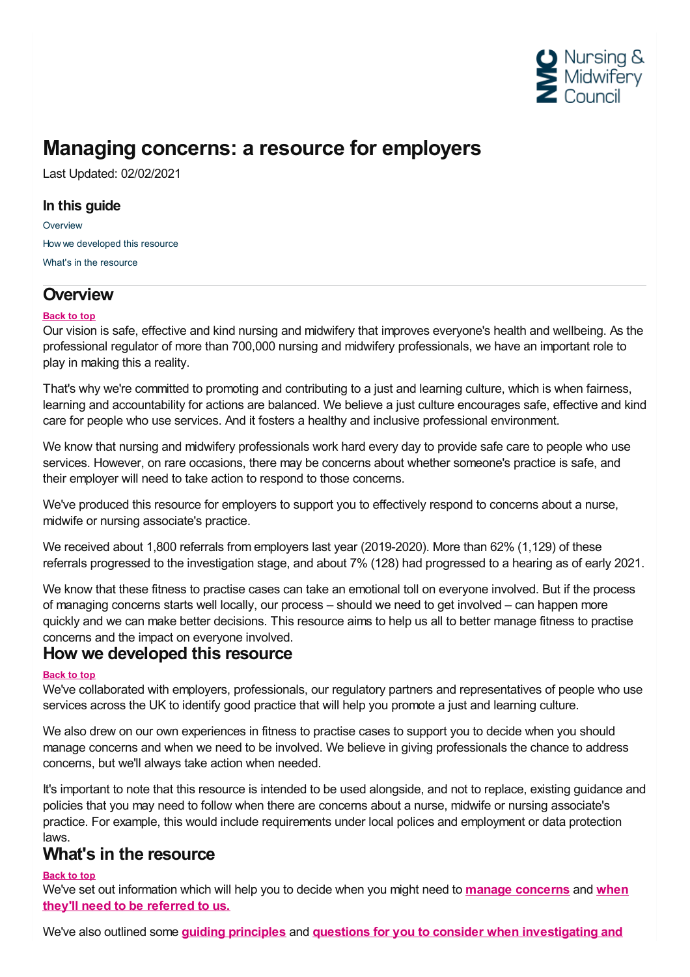

## **Managing concerns: a resource for employers**

Last Updated: 02/02/2021

### **In this guide**

**[Overview](#page-0-0)** How we [developed](#page-0-1) this resource What's in the [resource](#page-0-2)

## <span id="page-0-0"></span>**Overview**

#### **Back to top**

Our vision is safe, effective and kind nursing and midwifery that improves everyone's health and wellbeing. As the professional regulator of more than 700,000 nursing and midwifery professionals, we have an important role to play in making this a reality.

That's why we're committed to promoting and contributing to a just and learning culture, which is when fairness, learning and accountability for actions are balanced. We believe a just culture encourages safe, effective and kind care for people who use services. And it fosters a healthy and inclusive professional environment.

We know that nursing and midwifery professionals work hard every day to provide safe care to people who use services. However, on rare occasions, there may be concerns about whether someone's practice is safe, and their employer will need to take action to respond to those concerns.

We've produced this resource for employers to support you to effectively respond to concerns about a nurse, midwife or nursing associate's practice.

We received about 1,800 referrals from employers last year (2019-2020). More than 62% (1,129) of these referrals progressed to the investigation stage, and about 7% (128) had progressed to a hearing as of early 2021.

We know that these fitness to practise cases can take an emotional toll on everyone involved. But if the process of managing concerns starts well locally, our process – should we need to get involved – can happen more quickly and we can make better decisions. This resource aims to help us all to better manage fitness to practise concerns and the impact on everyone involved.

## <span id="page-0-1"></span>**How we developed this resource**

#### **Back to top**

We've collaborated with employers, professionals, our regulatory partners and representatives of people who use services across the UK to identify good practice that will help you promote a just and learning culture.

We also drew on our own experiences in fitness to practise cases to support you to decide when you should manage concerns and when we need to be involved. We believe in giving professionals the chance to address concerns, but we'll always take action when needed.

It's important to note that this resource is intended to be used alongside, and not to replace, existing guidance and policies that you may need to follow when there are concerns about a nurse, midwife or nursing associate's practice. For example, this would include requirements under local polices and employment or data protection

# <span id="page-0-2"></span>laws. **What's in the resource**

#### **Back to top**

We've set out [information](https://www.nmc.org.uk/employer-resource/deciding-to-refer/) which will help you to decide when you might need to **manage [concerns](https://www.nmc.org.uk/employer-resource/managing-concerns/)** and **when they'll need to be referred to us.**

We've also outlined some **guiding [principles](https://www.nmc.org.uk/employer-resource/local-investigation/guiding-principles/)** and **questions for you to consider when [investigating](https://www.nmc.org.uk/employer-resource/deciding-to-refer/concerns-you-should-refer/) and**